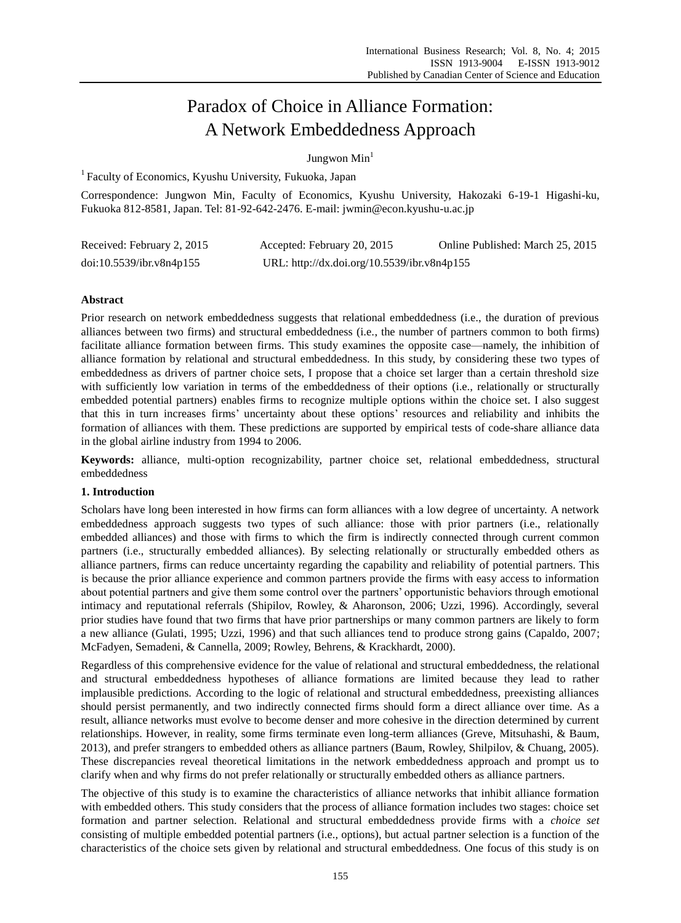# Paradox of Choice in Alliance Formation: A Network Embeddedness Approach

# Jungwon  $Min<sup>1</sup>$

<sup>1</sup> Faculty of Economics, Kyushu University, Fukuoka, Japan

Correspondence: Jungwon Min, Faculty of Economics, Kyushu University, Hakozaki 6-19-1 Higashi-ku, Fukuoka 812-8581, Japan. Tel: 81-92-642-2476. E-mail[: jwmin@econ.kyushu-u.ac.jp](mailto:jwmin@econ.kyushu-u.ac.jp)

| Received: February 2, 2015 | Accepted: February 20, 2015                 | Online Published: March 25, 2015 |
|----------------------------|---------------------------------------------|----------------------------------|
| doi:10.5539/ibr.v8n4p155   | URL: http://dx.doi.org/10.5539/ibr.v8n4p155 |                                  |

# **Abstract**

Prior research on network embeddedness suggests that relational embeddedness (i.e., the duration of previous alliances between two firms) and structural embeddedness (i.e., the number of partners common to both firms) facilitate alliance formation between firms. This study examines the opposite case—namely, the inhibition of alliance formation by relational and structural embeddedness. In this study, by considering these two types of embeddedness as drivers of partner choice sets, I propose that a choice set larger than a certain threshold size with sufficiently low variation in terms of the embeddedness of their options (i.e., relationally or structurally embedded potential partners) enables firms to recognize multiple options within the choice set. I also suggest that this in turn increases firms' uncertainty about these options' resources and reliability and inhibits the formation of alliances with them. These predictions are supported by empirical tests of code-share alliance data in the global airline industry from 1994 to 2006.

**Keywords:** alliance, multi-option recognizability, partner choice set, relational embeddedness, structural embeddedness

# **1. Introduction**

Scholars have long been interested in how firms can form alliances with a low degree of uncertainty. A network embeddedness approach suggests two types of such alliance: those with prior partners (i.e., relationally embedded alliances) and those with firms to which the firm is indirectly connected through current common partners (i.e., structurally embedded alliances). By selecting relationally or structurally embedded others as alliance partners, firms can reduce uncertainty regarding the capability and reliability of potential partners. This is because the prior alliance experience and common partners provide the firms with easy access to information about potential partners and give them some control over the partners' opportunistic behaviors through emotional intimacy and reputational referrals (Shipilov, Rowley, & Aharonson, 2006; Uzzi, 1996). Accordingly, several prior studies have found that two firms that have prior partnerships or many common partners are likely to form a new alliance (Gulati, 1995; Uzzi, 1996) and that such alliances tend to produce strong gains (Capaldo, 2007; McFadyen, Semadeni, & Cannella, 2009; Rowley, Behrens, & Krackhardt, 2000).

Regardless of this comprehensive evidence for the value of relational and structural embeddedness, the relational and structural embeddedness hypotheses of alliance formations are limited because they lead to rather implausible predictions. According to the logic of relational and structural embeddedness, preexisting alliances should persist permanently, and two indirectly connected firms should form a direct alliance over time. As a result, alliance networks must evolve to become denser and more cohesive in the direction determined by current relationships. However, in reality, some firms terminate even long-term alliances (Greve, Mitsuhashi, & Baum, 2013), and prefer strangers to embedded others as alliance partners (Baum, Rowley, Shilpilov, & Chuang, 2005). These discrepancies reveal theoretical limitations in the network embeddedness approach and prompt us to clarify when and why firms do not prefer relationally or structurally embedded others as alliance partners.

The objective of this study is to examine the characteristics of alliance networks that inhibit alliance formation with embedded others. This study considers that the process of alliance formation includes two stages: choice set formation and partner selection. Relational and structural embeddedness provide firms with a *choice set* consisting of multiple embedded potential partners (i.e., options), but actual partner selection is a function of the characteristics of the choice sets given by relational and structural embeddedness. One focus of this study is on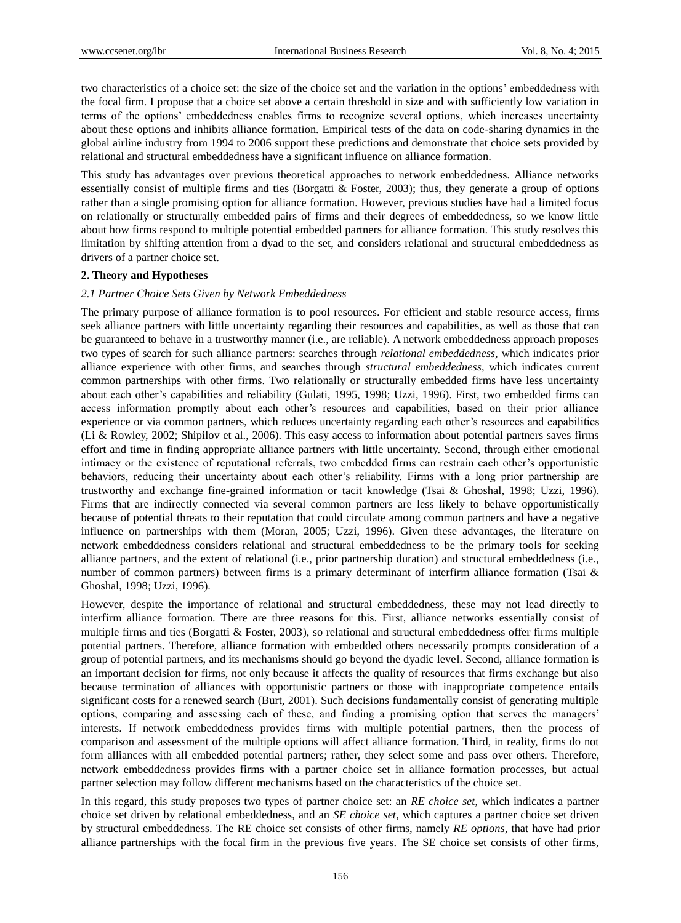two characteristics of a choice set: the size of the choice set and the variation in the options' embeddedness with the focal firm. I propose that a choice set above a certain threshold in size and with sufficiently low variation in terms of the options' embeddedness enables firms to recognize several options, which increases uncertainty about these options and inhibits alliance formation. Empirical tests of the data on code-sharing dynamics in the global airline industry from 1994 to 2006 support these predictions and demonstrate that choice sets provided by relational and structural embeddedness have a significant influence on alliance formation.

This study has advantages over previous theoretical approaches to network embeddedness. Alliance networks essentially consist of multiple firms and ties (Borgatti & Foster, 2003); thus, they generate a group of options rather than a single promising option for alliance formation. However, previous studies have had a limited focus on relationally or structurally embedded pairs of firms and their degrees of embeddedness, so we know little about how firms respond to multiple potential embedded partners for alliance formation. This study resolves this limitation by shifting attention from a dyad to the set, and considers relational and structural embeddedness as drivers of a partner choice set.

#### **2. Theory and Hypotheses**

#### *2.1 Partner Choice Sets Given by Network Embeddedness*

The primary purpose of alliance formation is to pool resources. For efficient and stable resource access, firms seek alliance partners with little uncertainty regarding their resources and capabilities, as well as those that can be guaranteed to behave in a trustworthy manner (i.e., are reliable). A network embeddedness approach proposes two types of search for such alliance partners: searches through *relational embeddedness*, which indicates prior alliance experience with other firms, and searches through *structural embeddedness*, which indicates current common partnerships with other firms. Two relationally or structurally embedded firms have less uncertainty about each other's capabilities and reliability (Gulati, 1995, 1998; Uzzi, 1996). First, two embedded firms can access information promptly about each other's resources and capabilities, based on their prior alliance experience or via common partners, which reduces uncertainty regarding each other's resources and capabilities (Li & Rowley, 2002; Shipilov et al., 2006). This easy access to information about potential partners saves firms effort and time in finding appropriate alliance partners with little uncertainty. Second, through either emotional intimacy or the existence of reputational referrals, two embedded firms can restrain each other's opportunistic behaviors, reducing their uncertainty about each other's reliability. Firms with a long prior partnership are trustworthy and exchange fine-grained information or tacit knowledge (Tsai & Ghoshal, 1998; Uzzi, 1996). Firms that are indirectly connected via several common partners are less likely to behave opportunistically because of potential threats to their reputation that could circulate among common partners and have a negative influence on partnerships with them (Moran, 2005; Uzzi, 1996). Given these advantages, the literature on network embeddedness considers relational and structural embeddedness to be the primary tools for seeking alliance partners, and the extent of relational (i.e., prior partnership duration) and structural embeddedness (i.e., number of common partners) between firms is a primary determinant of interfirm alliance formation (Tsai & Ghoshal, 1998; Uzzi, 1996).

However, despite the importance of relational and structural embeddedness, these may not lead directly to interfirm alliance formation. There are three reasons for this. First, alliance networks essentially consist of multiple firms and ties (Borgatti & Foster, 2003), so relational and structural embeddedness offer firms multiple potential partners. Therefore, alliance formation with embedded others necessarily prompts consideration of a group of potential partners, and its mechanisms should go beyond the dyadic level. Second, alliance formation is an important decision for firms, not only because it affects the quality of resources that firms exchange but also because termination of alliances with opportunistic partners or those with inappropriate competence entails significant costs for a renewed search (Burt, 2001). Such decisions fundamentally consist of generating multiple options, comparing and assessing each of these, and finding a promising option that serves the managers' interests. If network embeddedness provides firms with multiple potential partners, then the process of comparison and assessment of the multiple options will affect alliance formation. Third, in reality, firms do not form alliances with all embedded potential partners; rather, they select some and pass over others. Therefore, network embeddedness provides firms with a partner choice set in alliance formation processes, but actual partner selection may follow different mechanisms based on the characteristics of the choice set.

In this regard, this study proposes two types of partner choice set: an *RE choice set*, which indicates a partner choice set driven by relational embeddedness, and an *SE choice set*, which captures a partner choice set driven by structural embeddedness. The RE choice set consists of other firms, namely *RE options*, that have had prior alliance partnerships with the focal firm in the previous five years. The SE choice set consists of other firms,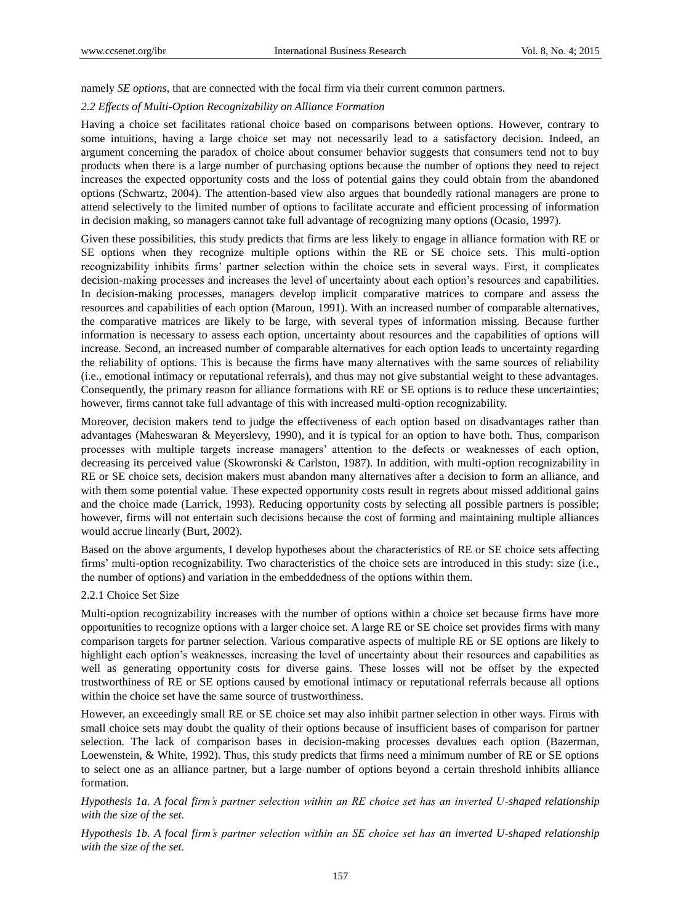namely *SE options*, that are connected with the focal firm via their current common partners.

#### *2.2 Effects of Multi-Option Recognizability on Alliance Formation*

Having a choice set facilitates rational choice based on comparisons between options. However, contrary to some intuitions, having a large choice set may not necessarily lead to a satisfactory decision. Indeed, an argument concerning the paradox of choice about consumer behavior suggests that consumers tend not to buy products when there is a large number of purchasing options because the number of options they need to reject increases the expected opportunity costs and the loss of potential gains they could obtain from the abandoned options (Schwartz, 2004). The attention-based view also argues that boundedly rational managers are prone to attend selectively to the limited number of options to facilitate accurate and efficient processing of information in decision making, so managers cannot take full advantage of recognizing many options (Ocasio, 1997).

Given these possibilities, this study predicts that firms are less likely to engage in alliance formation with RE or SE options when they recognize multiple options within the RE or SE choice sets. This multi-option recognizability inhibits firms' partner selection within the choice sets in several ways. First, it complicates decision-making processes and increases the level of uncertainty about each option's resources and capabilities. In decision-making processes, managers develop implicit comparative matrices to compare and assess the resources and capabilities of each option (Maroun, 1991). With an increased number of comparable alternatives, the comparative matrices are likely to be large, with several types of information missing. Because further information is necessary to assess each option, uncertainty about resources and the capabilities of options will increase. Second, an increased number of comparable alternatives for each option leads to uncertainty regarding the reliability of options. This is because the firms have many alternatives with the same sources of reliability (i.e., emotional intimacy or reputational referrals), and thus may not give substantial weight to these advantages. Consequently, the primary reason for alliance formations with RE or SE options is to reduce these uncertainties; however, firms cannot take full advantage of this with increased multi-option recognizability.

Moreover, decision makers tend to judge the effectiveness of each option based on disadvantages rather than advantages (Maheswaran & Meyerslevy, 1990), and it is typical for an option to have both. Thus, comparison processes with multiple targets increase managers' attention to the defects or weaknesses of each option, decreasing its perceived value (Skowronski & Carlston, 1987). In addition, with multi-option recognizability in RE or SE choice sets, decision makers must abandon many alternatives after a decision to form an alliance, and with them some potential value. These expected opportunity costs result in regrets about missed additional gains and the choice made (Larrick, 1993). Reducing opportunity costs by selecting all possible partners is possible; however, firms will not entertain such decisions because the cost of forming and maintaining multiple alliances would accrue linearly (Burt, 2002).

Based on the above arguments, I develop hypotheses about the characteristics of RE or SE choice sets affecting firms' multi-option recognizability. Two characteristics of the choice sets are introduced in this study: size (i.e., the number of options) and variation in the embeddedness of the options within them.

#### 2.2.1 Choice Set Size

Multi-option recognizability increases with the number of options within a choice set because firms have more opportunities to recognize options with a larger choice set. A large RE or SE choice set provides firms with many comparison targets for partner selection. Various comparative aspects of multiple RE or SE options are likely to highlight each option's weaknesses, increasing the level of uncertainty about their resources and capabilities as well as generating opportunity costs for diverse gains. These losses will not be offset by the expected trustworthiness of RE or SE options caused by emotional intimacy or reputational referrals because all options within the choice set have the same source of trustworthiness.

However, an exceedingly small RE or SE choice set may also inhibit partner selection in other ways. Firms with small choice sets may doubt the quality of their options because of insufficient bases of comparison for partner selection. The lack of comparison bases in decision-making processes devalues each option (Bazerman, Loewenstein, & White, 1992). Thus, this study predicts that firms need a minimum number of RE or SE options to select one as an alliance partner, but a large number of options beyond a certain threshold inhibits alliance formation.

*Hypothesis 1a. A focal firm's partner selection within an RE choice set has an inverted U-shaped relationship with the size of the set.*

*Hypothesis 1b. A focal firm's partner selection within an SE choice set has an inverted U-shaped relationship with the size of the set.*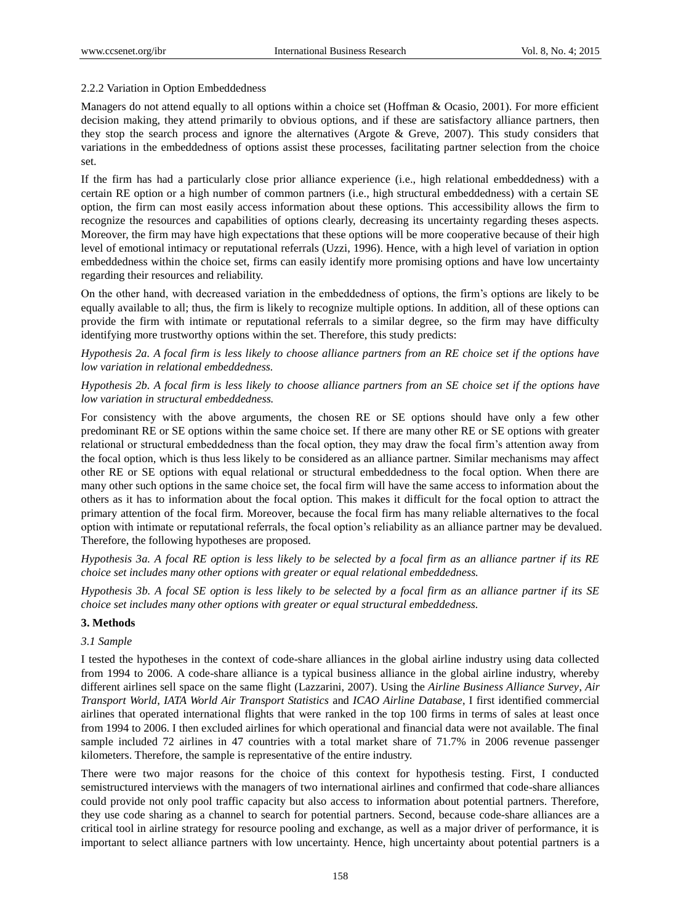# 2.2.2 Variation in Option Embeddedness

Managers do not attend equally to all options within a choice set (Hoffman & Ocasio, 2001). For more efficient decision making, they attend primarily to obvious options, and if these are satisfactory alliance partners, then they stop the search process and ignore the alternatives (Argote & Greve, 2007). This study considers that variations in the embeddedness of options assist these processes, facilitating partner selection from the choice set.

If the firm has had a particularly close prior alliance experience (i.e., high relational embeddedness) with a certain RE option or a high number of common partners (i.e., high structural embeddedness) with a certain SE option, the firm can most easily access information about these options. This accessibility allows the firm to recognize the resources and capabilities of options clearly, decreasing its uncertainty regarding theses aspects. Moreover, the firm may have high expectations that these options will be more cooperative because of their high level of emotional intimacy or reputational referrals (Uzzi, 1996). Hence, with a high level of variation in option embeddedness within the choice set, firms can easily identify more promising options and have low uncertainty regarding their resources and reliability.

On the other hand, with decreased variation in the embeddedness of options, the firm's options are likely to be equally available to all; thus, the firm is likely to recognize multiple options. In addition, all of these options can provide the firm with intimate or reputational referrals to a similar degree, so the firm may have difficulty identifying more trustworthy options within the set. Therefore, this study predicts:

*Hypothesis 2a. A focal firm is less likely to choose alliance partners from an RE choice set if the options have low variation in relational embeddedness.*

*Hypothesis 2b. A focal firm is less likely to choose alliance partners from an SE choice set if the options have low variation in structural embeddedness.*

For consistency with the above arguments, the chosen RE or SE options should have only a few other predominant RE or SE options within the same choice set. If there are many other RE or SE options with greater relational or structural embeddedness than the focal option, they may draw the focal firm's attention away from the focal option, which is thus less likely to be considered as an alliance partner. Similar mechanisms may affect other RE or SE options with equal relational or structural embeddedness to the focal option. When there are many other such options in the same choice set, the focal firm will have the same access to information about the others as it has to information about the focal option. This makes it difficult for the focal option to attract the primary attention of the focal firm. Moreover, because the focal firm has many reliable alternatives to the focal option with intimate or reputational referrals, the focal option's reliability as an alliance partner may be devalued. Therefore, the following hypotheses are proposed.

*Hypothesis 3a. A focal RE option is less likely to be selected by a focal firm as an alliance partner if its RE choice set includes many other options with greater or equal relational embeddedness.*

*Hypothesis 3b. A focal SE option is less likely to be selected by a focal firm as an alliance partner if its SE choice set includes many other options with greater or equal structural embeddedness.*

# **3. Methods**

# *3.1 Sample*

I tested the hypotheses in the context of code-share alliances in the global airline industry using data collected from 1994 to 2006. A code-share alliance is a typical business alliance in the global airline industry, whereby different airlines sell space on the same flight (Lazzarini, 2007). Using the *Airline Business Alliance Survey*, *Air Transport World*, *IATA World Air Transport Statistics* and *ICAO Airline Database*, I first identified commercial airlines that operated international flights that were ranked in the top 100 firms in terms of sales at least once from 1994 to 2006. I then excluded airlines for which operational and financial data were not available. The final sample included 72 airlines in 47 countries with a total market share of 71.7% in 2006 revenue passenger kilometers. Therefore, the sample is representative of the entire industry.

There were two major reasons for the choice of this context for hypothesis testing. First, I conducted semistructured interviews with the managers of two international airlines and confirmed that code-share alliances could provide not only pool traffic capacity but also access to information about potential partners. Therefore, they use code sharing as a channel to search for potential partners. Second, because code-share alliances are a critical tool in airline strategy for resource pooling and exchange, as well as a major driver of performance, it is important to select alliance partners with low uncertainty. Hence, high uncertainty about potential partners is a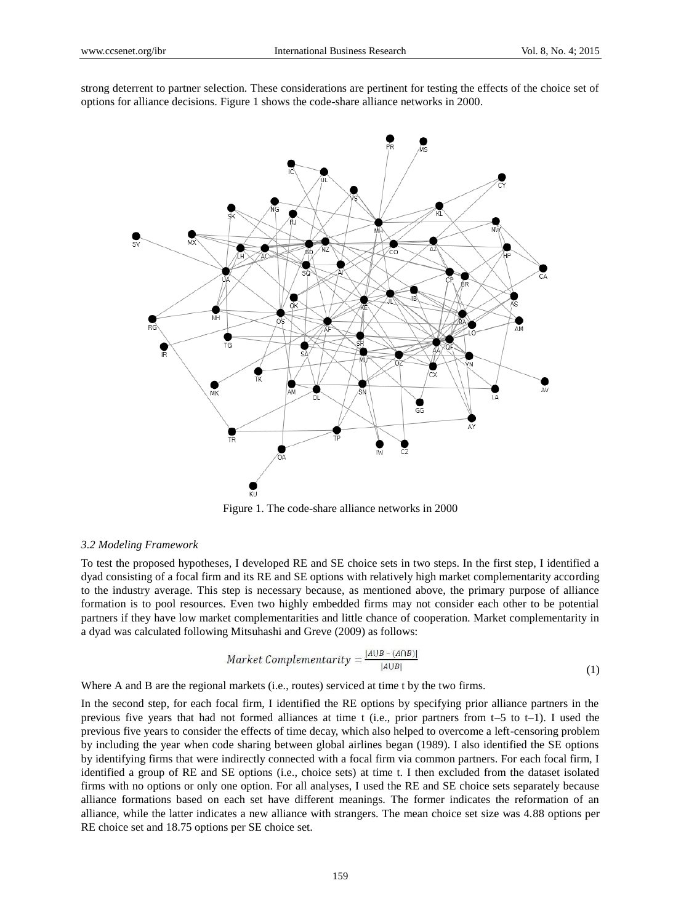

strong deterrent to partner selection. These considerations are pertinent for testing the effects of the choice set of options for alliance decisions. Figure 1 shows the code-share alliance networks in 2000.

Figure 1. The code-share alliance networks in 2000

#### *3.2 Modeling Framework*

To test the proposed hypotheses, I developed RE and SE choice sets in two steps. In the first step, I identified a dyad consisting of a focal firm and its RE and SE options with relatively high market complementarity according to the industry average. This step is necessary because, as mentioned above, the primary purpose of alliance formation is to pool resources. Even two highly embedded firms may not consider each other to be potential partners if they have low market complementarities and little chance of cooperation. Market complementarity in a dyad was calculated following Mitsuhashi and Greve (2009) as follows:

$$
Market Complementary = \frac{|A \cup B - (A \cap B)|}{|A \cup B|}
$$
(1)

Where A and B are the regional markets (i.e., routes) serviced at time t by the two firms.

In the second step, for each focal firm, I identified the RE options by specifying prior alliance partners in the previous five years that had not formed alliances at time t (i.e., prior partners from t–5 to t–1). I used the previous five years to consider the effects of time decay, which also helped to overcome a left-censoring problem by including the year when code sharing between global airlines began (1989). I also identified the SE options by identifying firms that were indirectly connected with a focal firm via common partners. For each focal firm, I identified a group of RE and SE options (i.e., choice sets) at time t. I then excluded from the dataset isolated firms with no options or only one option. For all analyses, I used the RE and SE choice sets separately because alliance formations based on each set have different meanings. The former indicates the reformation of an alliance, while the latter indicates a new alliance with strangers. The mean choice set size was 4.88 options per RE choice set and 18.75 options per SE choice set.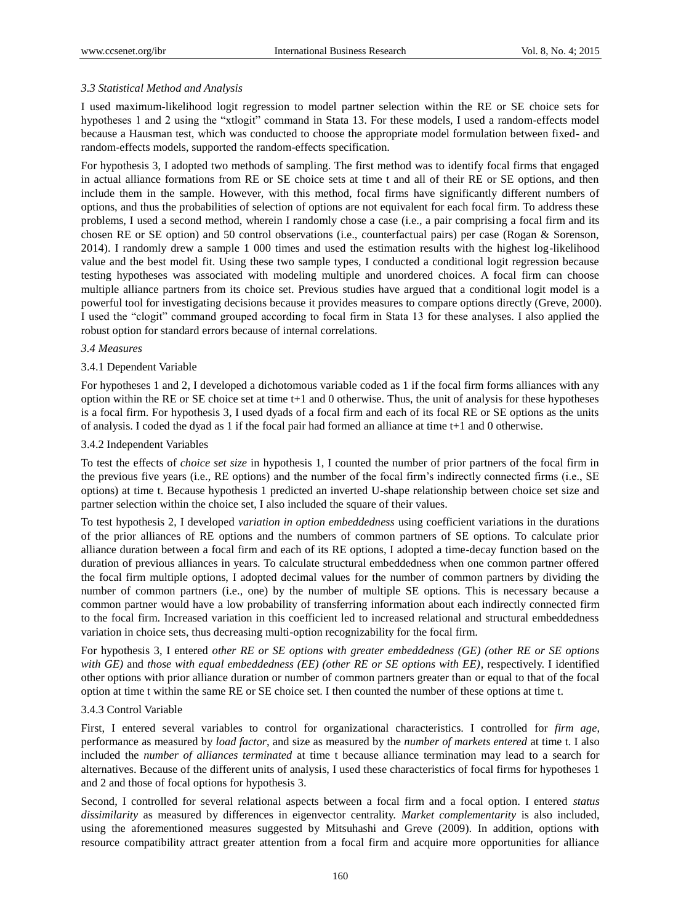# *3.3 Statistical Method and Analysis*

I used maximum-likelihood logit regression to model partner selection within the RE or SE choice sets for hypotheses 1 and 2 using the "xtlogit" command in Stata 13. For these models, I used a random-effects model because a Hausman test, which was conducted to choose the appropriate model formulation between fixed- and random-effects models, supported the random-effects specification.

For hypothesis 3, I adopted two methods of sampling. The first method was to identify focal firms that engaged in actual alliance formations from RE or SE choice sets at time t and all of their RE or SE options, and then include them in the sample. However, with this method, focal firms have significantly different numbers of options, and thus the probabilities of selection of options are not equivalent for each focal firm. To address these problems, I used a second method, wherein I randomly chose a case (i.e., a pair comprising a focal firm and its chosen RE or SE option) and 50 control observations (i.e., counterfactual pairs) per case (Rogan & Sorenson, 2014). I randomly drew a sample 1 000 times and used the estimation results with the highest log-likelihood value and the best model fit. Using these two sample types, I conducted a conditional logit regression because testing hypotheses was associated with modeling multiple and unordered choices. A focal firm can choose multiple alliance partners from its choice set. Previous studies have argued that a conditional logit model is a powerful tool for investigating decisions because it provides measures to compare options directly (Greve, 2000). I used the "clogit" command grouped according to focal firm in Stata 13 for these analyses. I also applied the robust option for standard errors because of internal correlations.

# *3.4 Measures*

# 3.4.1 Dependent Variable

For hypotheses 1 and 2, I developed a dichotomous variable coded as 1 if the focal firm forms alliances with any option within the RE or SE choice set at time  $t+1$  and 0 otherwise. Thus, the unit of analysis for these hypotheses is a focal firm. For hypothesis 3, I used dyads of a focal firm and each of its focal RE or SE options as the units of analysis. I coded the dyad as 1 if the focal pair had formed an alliance at time t+1 and 0 otherwise.

# 3.4.2 Independent Variables

To test the effects of *choice set size* in hypothesis 1, I counted the number of prior partners of the focal firm in the previous five years (i.e., RE options) and the number of the focal firm's indirectly connected firms (i.e., SE options) at time t. Because hypothesis 1 predicted an inverted U-shape relationship between choice set size and partner selection within the choice set, I also included the square of their values.

To test hypothesis 2, I developed *variation in option embeddedness* using coefficient variations in the durations of the prior alliances of RE options and the numbers of common partners of SE options. To calculate prior alliance duration between a focal firm and each of its RE options, I adopted a time-decay function based on the duration of previous alliances in years. To calculate structural embeddedness when one common partner offered the focal firm multiple options, I adopted decimal values for the number of common partners by dividing the number of common partners (i.e., one) by the number of multiple SE options. This is necessary because a common partner would have a low probability of transferring information about each indirectly connected firm to the focal firm. Increased variation in this coefficient led to increased relational and structural embeddedness variation in choice sets, thus decreasing multi-option recognizability for the focal firm.

For hypothesis 3, I entered *other RE or SE options with greater embeddedness (GE) (other RE or SE options with GE)* and *those with equal embeddedness (EE) (other RE or SE options with EE)*, respectively. I identified other options with prior alliance duration or number of common partners greater than or equal to that of the focal option at time t within the same RE or SE choice set. I then counted the number of these options at time t.

# 3.4.3 Control Variable

First, I entered several variables to control for organizational characteristics. I controlled for *firm age*, performance as measured by *load factor*, and size as measured by the *number of markets entered* at time t. I also included the *number of alliances terminated* at time t because alliance termination may lead to a search for alternatives. Because of the different units of analysis, I used these characteristics of focal firms for hypotheses 1 and 2 and those of focal options for hypothesis 3.

Second, I controlled for several relational aspects between a focal firm and a focal option. I entered *status dissimilarity* as measured by differences in eigenvector centrality. *Market complementarity* is also included, using the aforementioned measures suggested by Mitsuhashi and Greve (2009). In addition, options with resource compatibility attract greater attention from a focal firm and acquire more opportunities for alliance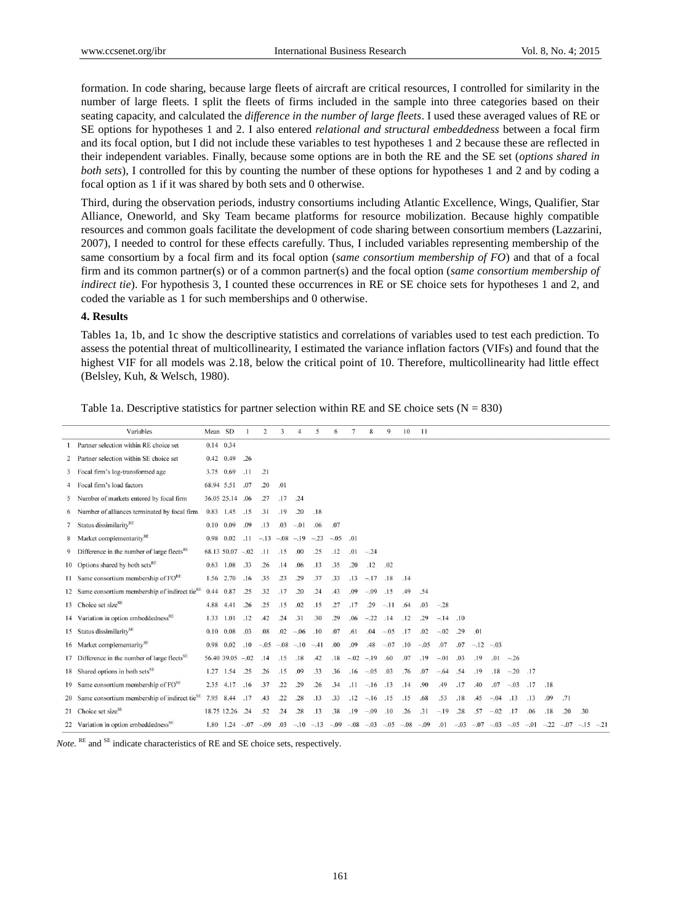formation. In code sharing, because large fleets of aircraft are critical resources, I controlled for similarity in the number of large fleets. I split the fleets of firms included in the sample into three categories based on their seating capacity, and calculated the *difference in the number of large fleets*. I used these averaged values of RE or SE options for hypotheses 1 and 2. I also entered *relational and structural embeddedness* between a focal firm and its focal option, but I did not include these variables to test hypotheses 1 and 2 because these are reflected in their independent variables. Finally, because some options are in both the RE and the SE set (*options shared in both sets*), I controlled for this by counting the number of these options for hypotheses 1 and 2 and by coding a focal option as 1 if it was shared by both sets and 0 otherwise.

Third, during the observation periods, industry consortiums including Atlantic Excellence, Wings, Qualifier, Star Alliance, Oneworld, and Sky Team became platforms for resource mobilization. Because highly compatible resources and common goals facilitate the development of code sharing between consortium members (Lazzarini, 2007), I needed to control for these effects carefully. Thus, I included variables representing membership of the same consortium by a focal firm and its focal option (*same consortium membership of FO*) and that of a focal firm and its common partner(s) or of a common partner(s) and the focal option (*same consortium membership of indirect tie*). For hypothesis 3, I counted these occurrences in RE or SE choice sets for hypotheses 1 and 2, and coded the variable as 1 for such memberships and 0 otherwise.

#### **4. Results**

Tables 1a, 1b, and 1c show the descriptive statistics and correlations of variables used to test each prediction. To assess the potential threat of multicollinearity, I estimated the variance inflation factors (VIFs) and found that the highest VIF for all models was 2.18, below the critical point of 10. Therefore, multicollinearity had little effect (Belsley, Kuh, & Welsch, 1980).

|   | Variables                                                   | Mean SD   |                               |     | 2                    | 3          | $\overline{4}$ | 5      | 6      | $7\phantom{.0}$ | 8                                             | 9      | 10  | 11     |            |     |               |        |            |     |     |                                                             |     |  |
|---|-------------------------------------------------------------|-----------|-------------------------------|-----|----------------------|------------|----------------|--------|--------|-----------------|-----------------------------------------------|--------|-----|--------|------------|-----|---------------|--------|------------|-----|-----|-------------------------------------------------------------|-----|--|
|   | Partner selection within RE choice set                      |           | 0.14 0.34                     |     |                      |            |                |        |        |                 |                                               |        |     |        |            |     |               |        |            |     |     |                                                             |     |  |
| 2 | Partner selection within SE choice set                      |           | $0.42 \quad 0.49$             | .26 |                      |            |                |        |        |                 |                                               |        |     |        |            |     |               |        |            |     |     |                                                             |     |  |
| 3 | Focal firm's log-transformed age                            |           | 3.75 0.69                     | .11 | .21                  |            |                |        |        |                 |                                               |        |     |        |            |     |               |        |            |     |     |                                                             |     |  |
|   | 4 Focal firm's load factors                                 |           | 68.94 5.51                    | .07 | .20                  | .01        |                |        |        |                 |                                               |        |     |        |            |     |               |        |            |     |     |                                                             |     |  |
|   | 5 Number of markets entered by focal firm                   |           | 36.05 25.14 .06               |     | .27                  | .17        | .24            |        |        |                 |                                               |        |     |        |            |     |               |        |            |     |     |                                                             |     |  |
|   | 6 Number of alliances terminated by focal firm              | 0.83 1.45 |                               | .15 | .31                  | .19        | .20            | .18    |        |                 |                                               |        |     |        |            |     |               |        |            |     |     |                                                             |     |  |
| 7 | Status dissimilarityRE                                      |           | $0.10 \quad 0.09$             | .09 | .13                  | .03        | $-.01$         | .06    | .07    |                 |                                               |        |     |        |            |     |               |        |            |     |     |                                                             |     |  |
|   | 8 Market complementarityRE                                  |           | 0.98 0.02                     | .11 | $-.13$ $-.08$ $-.19$ |            |                | $-.23$ | $-.05$ | .01             |                                               |        |     |        |            |     |               |        |            |     |     |                                                             |     |  |
| 9 | Difference in the number of large fleets <sup>RE</sup>      |           | $68.13$ $50.07$ $-.02$        |     | .11                  | .15        | .00            | .25    | .12    | .01             | $-.24$                                        |        |     |        |            |     |               |        |            |     |     |                                                             |     |  |
|   | 10 Options shared by both sets <sup>RE</sup>                |           | $0.63$ 1.08                   | .33 | .26                  | .14        | .06            | .13    | .35    | .20             | .12                                           | .02    |     |        |            |     |               |        |            |     |     |                                                             |     |  |
|   | 11 Same consortium membership of FORE                       |           | 1.56 2.70                     | .16 | .35                  | .23        | .29            | .37    | .33    | .13             | $-.17$                                        | .18    | .14 |        |            |     |               |        |            |     |     |                                                             |     |  |
|   | 12 Same consortium membership of indirect tie <sup>RE</sup> | 0.44 0.87 |                               | .25 | .32                  | .17        | .20            | .24    | .43    | .09             | $-.09$                                        | .15    | .49 | .54    |            |     |               |        |            |     |     |                                                             |     |  |
|   | 13 Choice set size <sup>RE</sup>                            | 4.88      | 4.41                          | .26 | .25                  | .15        | .02            | .15    | .27    | .17             | .29                                           | $-11$  | .64 | .03    | $-.28$     |     |               |        |            |     |     |                                                             |     |  |
|   | 14 Variation in option embeddedness <sup>RE</sup>           |           | 1.33 1.01                     | .12 | .42                  | .24        | .31            | .30    | .29    | .06             | $-.22$                                        | .14    | .12 | .29    | $-.14-.10$ |     |               |        |            |     |     |                                                             |     |  |
|   | 15 Status dissimilarity <sup>SE</sup>                       |           | $0.10 \quad 0.08$             | .03 | .08                  | .02        | $-.06$         | .10    | .07    | .61             | .04                                           | $-.05$ | .17 | .02    | $-.02$     | .29 | .01           |        |            |     |     |                                                             |     |  |
|   | 16 Market complementarity <sup>SE</sup>                     |           | 0.98 0.02                     | .10 | $-.05$               | $-.08-.10$ |                | $-.41$ | .00    | .09             | .48                                           | $-.07$ | .10 | $-.05$ | .07        | .07 | $-.12$ $-.03$ |        |            |     |     |                                                             |     |  |
|   | 17 Difference in the number of large fleets <sup>SE</sup>   |           | $56.40$ 39.05 $-.02$          |     | .14                  | .15        | .18            | .42    | .18    |                 | $-.02 - .19$                                  | .60    | .07 | .19    | $-.01$     | .03 | .19           | .01    | $-.26$     |     |     |                                                             |     |  |
|   | 18 Shared options in both sets <sup>SE</sup>                |           | 1.27 1.54                     | .25 | .26                  | .15        | .09            | .33    | .36    | .16             | $-.05$                                        | .03    | .76 | .07    | $-.64$     | .54 | .19           | .18    | $-.20-.17$ |     |     |                                                             |     |  |
|   | 19 Same consortium membership of FO <sup>SE</sup>           |           | 2.35 4.17                     | .16 | .37                  | .22        | .29            | .26    | .34    | .11             | $-.16$ .13                                    |        | .14 | .90    | .49        | .17 | .40           | .07    | $-.03$     | .17 | .18 |                                                             |     |  |
|   | 20 Same consortium membership of indirect tie <sup>SE</sup> |           | 7.95 8.44                     | .17 | .43                  | .22        | .28            | .13    | .33    | .12             | $-.16$                                        | .15    | .15 | .68    | .53        | .18 | .45           | $-.04$ | .13        | .13 | .09 | .71                                                         |     |  |
|   | 21 Choice set size <sup>SE</sup>                            |           | 18.75 12.26                   | .24 | .52                  | .24        | .28            | .13    | .38    | .19             | $-.09$                                        | .10    | .26 | .31    | $-.19$     | .28 | .57           | $-.02$ | .17        | .06 | .18 | .20                                                         | .30 |  |
|   | 22 Variation in option embeddedness <sup>SE</sup>           |           | $1.80$ $1.24$ $-0.07$ $-0.09$ |     |                      |            |                |        |        |                 | $.03 - 10 - 13 - 09 - 08 - 03 - 05 - 08 - 09$ |        |     |        |            |     |               |        |            |     |     | $.01 - .03 - .07 - .03 - .05 - .01 - .22 - .07 - .15 - .21$ |     |  |

Table 1a. Descriptive statistics for partner selection within RE and SE choice sets ( $N = 830$ )

*Note.* RE and SE indicate characteristics of RE and SE choice sets, respectively.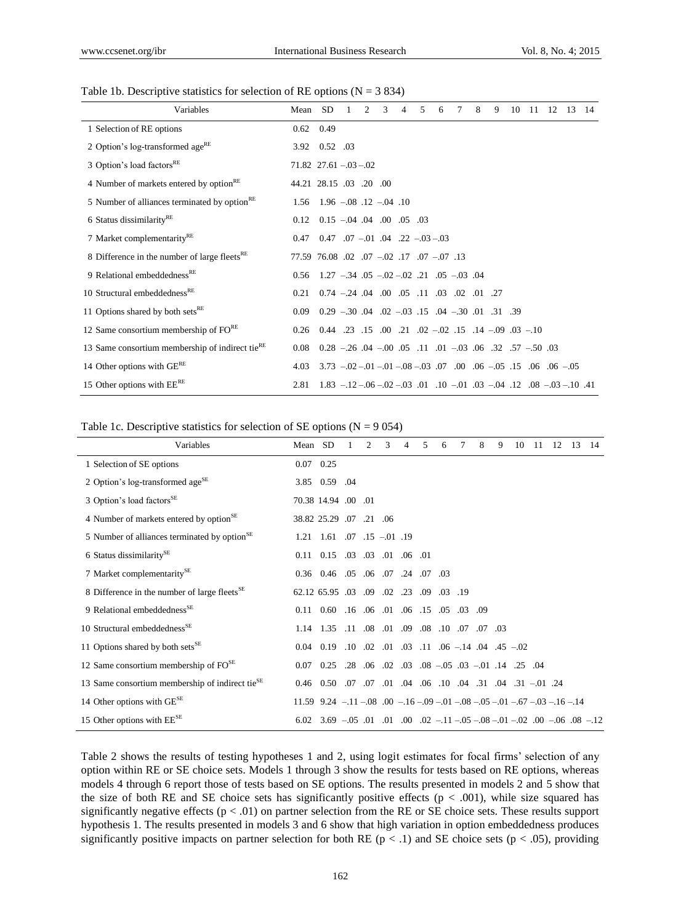| Table 1b. Descriptive statistics for selection of RE options ( $N = 3834$ ) |
|-----------------------------------------------------------------------------|
|-----------------------------------------------------------------------------|

| Variables                                                | Mean | <b>SD</b>                                                                                  | 2 | 3 | 4 | 5 | 6 | 7 | 8 | 9 | 10 | 11 | 12 | 13 | 14 |
|----------------------------------------------------------|------|--------------------------------------------------------------------------------------------|---|---|---|---|---|---|---|---|----|----|----|----|----|
| 1 Selection of RE options                                | 0.62 | 0.49                                                                                       |   |   |   |   |   |   |   |   |    |    |    |    |    |
| 2 Option's log-transformed age <sup>RE</sup>             |      | 3.92 0.52 .03                                                                              |   |   |   |   |   |   |   |   |    |    |    |    |    |
| 3 Option's load factors <sup>RE</sup>                    |      | $71.82$ $27.61 - 03 - 02$                                                                  |   |   |   |   |   |   |   |   |    |    |    |    |    |
| 4 Number of markets entered by option <sup>RE</sup>      |      | 44.21 28.15 .03 .20 .00                                                                    |   |   |   |   |   |   |   |   |    |    |    |    |    |
| 5 Number of alliances terminated by option <sup>RE</sup> |      | $1.56$ $1.96$ $-08$ $.12$ $-04$ $.10$                                                      |   |   |   |   |   |   |   |   |    |    |    |    |    |
| 6 Status dissimilarity <sup>RE</sup>                     | 0.12 | $0.15 - 04$ 04 00 05 03                                                                    |   |   |   |   |   |   |   |   |    |    |    |    |    |
| 7 Market complementarity <sup>RE</sup>                   | 0.47 | $0.47$ $0.07$ $-0.01$ $0.04$ $0.22$ $-0.03$ $-0.03$                                        |   |   |   |   |   |   |   |   |    |    |    |    |    |
| 8 Difference in the number of large fleets <sup>RE</sup> |      | 77.59 76.08 .02 .07 -.02 .17 .07 -.07 .13                                                  |   |   |   |   |   |   |   |   |    |    |    |    |    |
| 9 Relational embeddedness <sup>RE</sup>                  | 0.56 | $1.27 - 34$ $.05 - 02 - 02$ $.21$ $.05 - 03$ $.04$                                         |   |   |   |   |   |   |   |   |    |    |    |    |    |
| 10 Structural embeddedness <sup>RE</sup>                 | 0.21 | $0.74 - 0.24$ .04 .00 .05 .11 .03 .02 .01 .27                                              |   |   |   |   |   |   |   |   |    |    |    |    |    |
| 11 Options shared by both sets <sup>RE</sup>             | 0.09 | $0.29 - 30.04$ $0.02 - 03.15$ $0.04 - 30.01$ $0.31$ $0.39$                                 |   |   |   |   |   |   |   |   |    |    |    |    |    |
| 12 Same consortium membership of FORE                    | 0.26 | $0.44$ .23 .15 .00 .21 .02 -02 .15 .14 -09 .03 -10                                         |   |   |   |   |   |   |   |   |    |    |    |    |    |
| 13 Same consortium membership of indirect tie $^{RE}$    | 0.08 | $0.28 - 0.26$ $0.04 - 0.00$ $0.05$ $0.11$ $0.01 - 0.03$ $0.06$ $0.32$ $0.57 - 0.50$ $0.03$ |   |   |   |   |   |   |   |   |    |    |    |    |    |
| 14 Other options with GE <sup>RE</sup>                   | 4.03 | $3.73 - 02 - 01 - 01 - 08 - 03$ 0.07 0.06 0.05 0.06 0.06 0.05 0.05                         |   |   |   |   |   |   |   |   |    |    |    |    |    |
| 15 Other options with EE <sup>RE</sup>                   | 2.81 | $1.83 - 12 - 06 - 02 - 03$ 01 $10 - 01$ 03 $-04$ 12 08 $-03 - 10$ 41                       |   |   |   |   |   |   |   |   |    |    |    |    |    |

Table 1c. Descriptive statistics for selection of SE options ( $N = 9054$ )

| Variables                                                   | Mean SD     |                                                                                                                                                         | 1 | 2 | 3 | 4 | 5 | 6 | 7 | 8 | 9 | 10 | -11 | 12 | 13 | - 14 |
|-------------------------------------------------------------|-------------|---------------------------------------------------------------------------------------------------------------------------------------------------------|---|---|---|---|---|---|---|---|---|----|-----|----|----|------|
| 1 Selection of SE options                                   | $0.07$ 0.25 |                                                                                                                                                         |   |   |   |   |   |   |   |   |   |    |     |    |    |      |
| 2 Option's log-transformed age <sup>SE</sup>                |             | 3.85 0.59 .04                                                                                                                                           |   |   |   |   |   |   |   |   |   |    |     |    |    |      |
| 3 Option's load factors <sup>SE</sup>                       |             | 70.38 14.94 .00 .01                                                                                                                                     |   |   |   |   |   |   |   |   |   |    |     |    |    |      |
| 4 Number of markets entered by option <sup>SE</sup>         |             | 38.82 25.29 .07 .21 .06                                                                                                                                 |   |   |   |   |   |   |   |   |   |    |     |    |    |      |
| 5 Number of alliances terminated by option <sup>SE</sup>    |             | $1.21$ $1.61$ $.07$ $.15$ $-01$ $.19$                                                                                                                   |   |   |   |   |   |   |   |   |   |    |     |    |    |      |
| 6 Status dissimilarity <sup>SE</sup>                        |             | 0.11 0.15 .03 .03 .01 .06 .01                                                                                                                           |   |   |   |   |   |   |   |   |   |    |     |    |    |      |
| 7 Market complementarity <sup>SE</sup>                      |             | 0.36 0.46 0.5 0.06 0.7 0.24 0.7 0.3                                                                                                                     |   |   |   |   |   |   |   |   |   |    |     |    |    |      |
| 8 Difference in the number of large fleets <sup>SE</sup>    |             | 62.12 65.95 .03 .09 .02 .23 .09 .03 .19                                                                                                                 |   |   |   |   |   |   |   |   |   |    |     |    |    |      |
| 9 Relational embeddedness <sup>SE</sup>                     |             | 0.11 0.60 .16 .06 .01 .06 .15 .05 .03 .09                                                                                                               |   |   |   |   |   |   |   |   |   |    |     |    |    |      |
| 10 Structural embeddedness <sup>SE</sup>                    |             | 1.14 1.35 .11 .08 .01 .09 .08 .10 .07 .07 .03                                                                                                           |   |   |   |   |   |   |   |   |   |    |     |    |    |      |
| 11 Options shared by both sets <sup>SE</sup>                |             | $0.04$ 0.19 .10 .02 .01 .03 .11 .06 -14 .04 .45 -02                                                                                                     |   |   |   |   |   |   |   |   |   |    |     |    |    |      |
| 12 Same consortium membership of $FOSE$                     |             | $0.07$ $0.25$ $0.28$ $0.06$ $0.02$ $0.03$ $0.08$ $0.05$ $0.03$ $0.14$ $0.25$ $0.04$                                                                     |   |   |   |   |   |   |   |   |   |    |     |    |    |      |
| 13 Same consortium membership of indirect tie <sup>SE</sup> |             | 0.46 0.50 0.7 0.01 0.04 0.06 0.04 0.04 0.31 0.4 0.10 0.46                                                                                               |   |   |   |   |   |   |   |   |   |    |     |    |    |      |
| 14 Other options with GE <sup>SE</sup>                      |             | $11.59$ $9.24$ $-11$ $-08$ $00$ $-16$ $-09$ $-01$ $-08$ $-05$ $-01$ $-67$ $-03$ $-16$ $-14$                                                             |   |   |   |   |   |   |   |   |   |    |     |    |    |      |
| 15 Other options with EE <sup>SE</sup>                      |             | $6.02 \quad 3.69 \quad -05 \quad 01 \quad 01 \quad 00 \quad 02 \quad -11 \quad -05 \quad -08 \quad -01 \quad -02 \quad 00 \quad -06 \quad 08 \quad -12$ |   |   |   |   |   |   |   |   |   |    |     |    |    |      |

Table 2 shows the results of testing hypotheses 1 and 2, using logit estimates for focal firms' selection of any option within RE or SE choice sets. Models 1 through 3 show the results for tests based on RE options, whereas models 4 through 6 report those of tests based on SE options. The results presented in models 2 and 5 show that the size of both RE and SE choice sets has significantly positive effects ( $p < .001$ ), while size squared has significantly negative effects  $(p < .01)$  on partner selection from the RE or SE choice sets. These results support hypothesis 1. The results presented in models 3 and 6 show that high variation in option embeddedness produces significantly positive impacts on partner selection for both RE ( $p < .1$ ) and SE choice sets ( $p < .05$ ), providing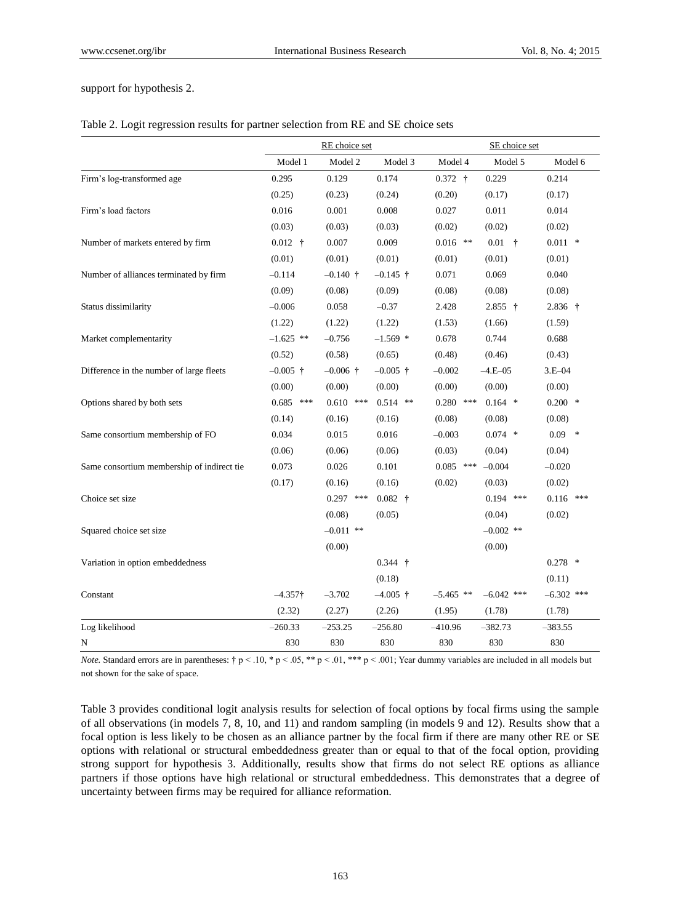#### support for hypothesis 2.

|                                            |                 | RE choice set |            |              | SE choice set |                 |
|--------------------------------------------|-----------------|---------------|------------|--------------|---------------|-----------------|
|                                            | Model 1         | Model 2       | Model 3    | Model 4      | Model 5       | Model 6         |
| Firm's log-transformed age                 | 0.295           | 0.129         | 0.174      | $0.372 +$    | 0.229         | 0.214           |
|                                            | (0.25)          | (0.23)        | (0.24)     | (0.20)       | (0.17)        | (0.17)          |
| Firm's load factors                        | 0.016           | 0.001         | 0.008      | 0.027        | 0.011         | 0.014           |
|                                            | (0.03)          | (0.03)        | (0.03)     | (0.02)       | (0.02)        | (0.02)          |
| Number of markets entered by firm          | $0.012 +$       | 0.007         | 0.009      | $0.016$ **   | $0.01 +$      | $0.011$ *       |
|                                            | (0.01)          | (0.01)        | (0.01)     | (0.01)       | (0.01)        | (0.01)          |
| Number of alliances terminated by firm     | $-0.114$        | $-0.140$ †    | $-0.145$ † | 0.071        | 0.069         | 0.040           |
|                                            | (0.09)          | (0.08)        | (0.09)     | (0.08)       | (0.08)        | (0.08)          |
| Status dissimilarity                       | $-0.006$        | 0.058         | $-0.37$    | 2.428        | $2.855$ †     | $2.836$ †       |
|                                            | (1.22)          | (1.22)        | (1.22)     | (1.53)       | (1.66)        | (1.59)          |
| Market complementarity                     | $-1.625$ **     | $-0.756$      | $-1.569$ * | 0.678        | 0.744         | 0.688           |
|                                            | (0.52)          | (0.58)        | (0.65)     | (0.48)       | (0.46)        | (0.43)          |
| Difference in the number of large fleets   | $-0.005$ †      | $-0.006$ †    | $-0.005$ † | $-0.002$     | $-4.E - 05$   | $3.E - 04$      |
|                                            | (0.00)          | (0.00)        | (0.00)     | (0.00)       | (0.00)        | (0.00)          |
| Options shared by both sets                | ***<br>0.685    | $0.610$ ***   | $0.514$ ** | 0.280<br>*** | $0.164$ *     | $0.200$ *       |
|                                            | (0.14)          | (0.16)        | (0.16)     | (0.08)       | (0.08)        | (0.08)          |
| Same consortium membership of FO           | 0.034           | 0.015         | 0.016      | $-0.003$     | $0.074$ *     | $0.09$ *        |
|                                            | (0.06)          | (0.06)        | (0.06)     | (0.03)       | (0.04)        | (0.04)          |
| Same consortium membership of indirect tie | 0.073           | 0.026         | 0.101      | 0.085<br>*** | $-0.004$      | $-0.020$        |
|                                            | (0.17)          | (0.16)        | (0.16)     | (0.02)       | (0.03)        | (0.02)          |
| Choice set size                            |                 | $0.297$ ***   | $0.082 +$  |              | 0.194<br>***  | 0.116<br>***    |
|                                            |                 | (0.08)        | (0.05)     |              | (0.04)        | (0.02)          |
| Squared choice set size                    |                 | $-0.011$ **   |            |              | $-0.002$ **   |                 |
|                                            |                 | (0.00)        |            |              | (0.00)        |                 |
| Variation in option embeddedness           |                 |               | $0.344$ †  |              |               | 0.278<br>$\ast$ |
|                                            |                 |               | (0.18)     |              |               | (0.11)          |
| Constant                                   | $-4.357\dagger$ | $-3.702$      | $-4.005$ † | $-5.465$ **  | $-6.042$ ***  | $-6.302$ ***    |
|                                            | (2.32)          | (2.27)        | (2.26)     | (1.95)       | (1.78)        | (1.78)          |
| Log likelihood                             | $-260.33$       | $-253.25$     | $-256.80$  | $-410.96$    | $-382.73$     | $-383.55$       |
| N                                          | 830             | 830           | 830        | 830          | 830           | 830             |

#### Table 2. Logit regression results for partner selection from RE and SE choice sets

*Note.* Standard errors are in parentheses:  $\uparrow p < .10$ ,  $\uparrow p < .05$ ,  $\uparrow \uparrow p < .01$ ,  $\uparrow \uparrow p < .001$ ; Year dummy variables are included in all models but not shown for the sake of space.

Table 3 provides conditional logit analysis results for selection of focal options by focal firms using the sample of all observations (in models 7, 8, 10, and 11) and random sampling (in models 9 and 12). Results show that a focal option is less likely to be chosen as an alliance partner by the focal firm if there are many other RE or SE options with relational or structural embeddedness greater than or equal to that of the focal option, providing strong support for hypothesis 3. Additionally, results show that firms do not select RE options as alliance partners if those options have high relational or structural embeddedness. This demonstrates that a degree of uncertainty between firms may be required for alliance reformation.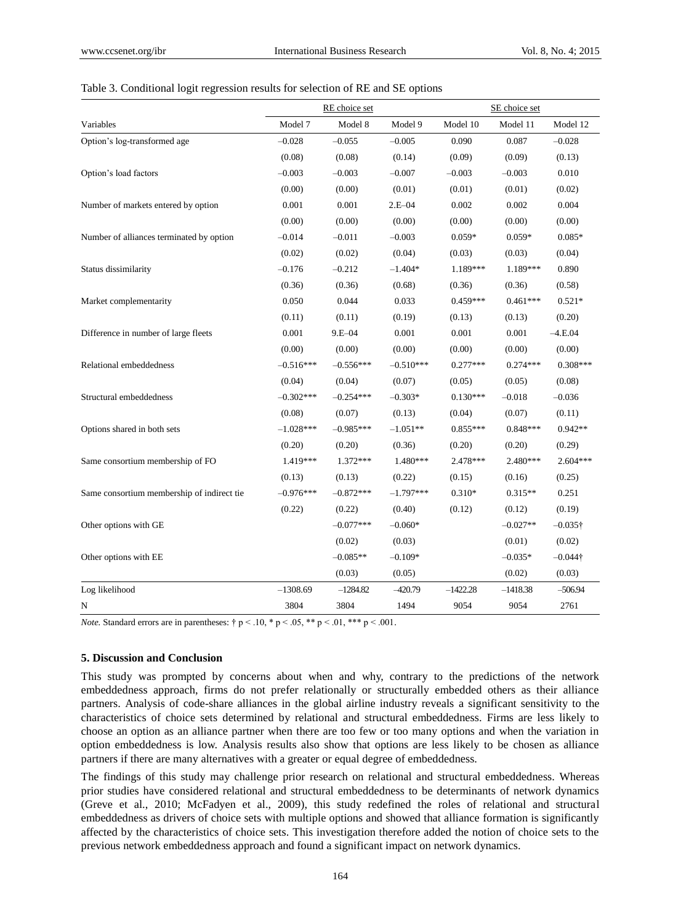#### Table 3. Conditional logit regression results for selection of RE and SE options

|                                            |             | RE choice set |             |            | SE choice set |                 |  |  |  |
|--------------------------------------------|-------------|---------------|-------------|------------|---------------|-----------------|--|--|--|
| Variables                                  | Model 7     | Model 8       | Model 9     | Model 10   | Model 11      | Model 12        |  |  |  |
| Option's log-transformed age               | $-0.028$    | $-0.055$      | $-0.005$    | 0.090      | 0.087         | $-0.028$        |  |  |  |
|                                            | (0.08)      | (0.08)        | (0.14)      | (0.09)     | (0.09)        | (0.13)          |  |  |  |
| Option's load factors                      | $-0.003$    | $-0.003$      | $-0.007$    | $-0.003$   | $-0.003$      | 0.010           |  |  |  |
|                                            | (0.00)      | (0.00)        | (0.01)      | (0.01)     | (0.01)        | (0.02)          |  |  |  |
| Number of markets entered by option        | 0.001       | 0.001         | $2.E - 04$  | 0.002      | 0.002         | 0.004           |  |  |  |
|                                            | (0.00)      | (0.00)        | (0.00)      | (0.00)     | (0.00)        | (0.00)          |  |  |  |
| Number of alliances terminated by option   | $-0.014$    | $-0.011$      | $-0.003$    | $0.059*$   | $0.059*$      | $0.085*$        |  |  |  |
|                                            | (0.02)      | (0.02)        | (0.04)      | (0.03)     | (0.03)        | (0.04)          |  |  |  |
| Status dissimilarity                       | $-0.176$    | $-0.212$      | $-1.404*$   | $1.189***$ | 1.189***      | 0.890           |  |  |  |
|                                            | (0.36)      | (0.36)        | (0.68)      | (0.36)     | (0.36)        | (0.58)          |  |  |  |
| Market complementarity                     | 0.050       | 0.044         | 0.033       | $0.459***$ | $0.461***$    | $0.521*$        |  |  |  |
|                                            | (0.11)      | (0.11)        | (0.19)      | (0.13)     | (0.13)        | (0.20)          |  |  |  |
| Difference in number of large fleets       | 0.001       | $9.E - 04$    | 0.001       | 0.001      | 0.001         | $-4.E.04$       |  |  |  |
|                                            | (0.00)      | (0.00)        | (0.00)      | (0.00)     | (0.00)        | (0.00)          |  |  |  |
| Relational embeddedness                    | $-0.516***$ | $-0.556***$   | $-0.510***$ | $0.277***$ | $0.274***$    | $0.308***$      |  |  |  |
|                                            | (0.04)      | (0.04)        | (0.07)      | (0.05)     | (0.05)        | (0.08)          |  |  |  |
| Structural embeddedness                    | $-0.302***$ | $-0.254***$   | $-0.303*$   | $0.130***$ | $-0.018$      | $-0.036$        |  |  |  |
|                                            | (0.08)      | (0.07)        | (0.13)      | (0.04)     | (0.07)        | (0.11)          |  |  |  |
| Options shared in both sets                | $-1.028***$ | $-0.985***$   | $-1.051**$  | $0.855***$ | $0.848***$    | $0.942**$       |  |  |  |
|                                            | (0.20)      | (0.20)        | (0.36)      | (0.20)     | (0.20)        | (0.29)          |  |  |  |
| Same consortium membership of FO           | 1.419***    | $1.372***$    | $1.480***$  | 2.478***   | $2.480***$    | $2.604***$      |  |  |  |
|                                            | (0.13)      | (0.13)        | (0.22)      | (0.15)     | (0.16)        | (0.25)          |  |  |  |
| Same consortium membership of indirect tie | $-0.976***$ | $-0.872***$   | $-1.797***$ | $0.310*$   | $0.315**$     | 0.251           |  |  |  |
|                                            | (0.22)      | (0.22)        | (0.40)      | (0.12)     | (0.12)        | (0.19)          |  |  |  |
| Other options with GE                      |             | $-0.077***$   | $-0.060*$   |            | $-0.027**$    | $-0.035\dagger$ |  |  |  |
|                                            |             | (0.02)        | (0.03)      |            | (0.01)        | (0.02)          |  |  |  |
| Other options with EE                      |             | $-0.085**$    | $-0.109*$   |            | $-0.035*$     | $-0.044\dagger$ |  |  |  |
|                                            |             | (0.03)        | (0.05)      |            | (0.02)        | (0.03)          |  |  |  |
| Log likelihood                             | $-1308.69$  | $-1284.82$    | $-420.79$   | $-1422.28$ | $-1418.38$    | $-506.94$       |  |  |  |
| N                                          | 3804        | 3804          | 1494        | 9054       | 9054          | 2761            |  |  |  |

*Note.* Standard errors are in parentheses:  $\uparrow$  p < .10, \* p < .05, \*\* p < .01, \*\*\* p < .001.

#### **5. Discussion and Conclusion**

This study was prompted by concerns about when and why, contrary to the predictions of the network embeddedness approach, firms do not prefer relationally or structurally embedded others as their alliance partners. Analysis of code-share alliances in the global airline industry reveals a significant sensitivity to the characteristics of choice sets determined by relational and structural embeddedness. Firms are less likely to choose an option as an alliance partner when there are too few or too many options and when the variation in option embeddedness is low. Analysis results also show that options are less likely to be chosen as alliance partners if there are many alternatives with a greater or equal degree of embeddedness.

The findings of this study may challenge prior research on relational and structural embeddedness. Whereas prior studies have considered relational and structural embeddedness to be determinants of network dynamics (Greve et al., 2010; McFadyen et al., 2009), this study redefined the roles of relational and structural embeddedness as drivers of choice sets with multiple options and showed that alliance formation is significantly affected by the characteristics of choice sets. This investigation therefore added the notion of choice sets to the previous network embeddedness approach and found a significant impact on network dynamics.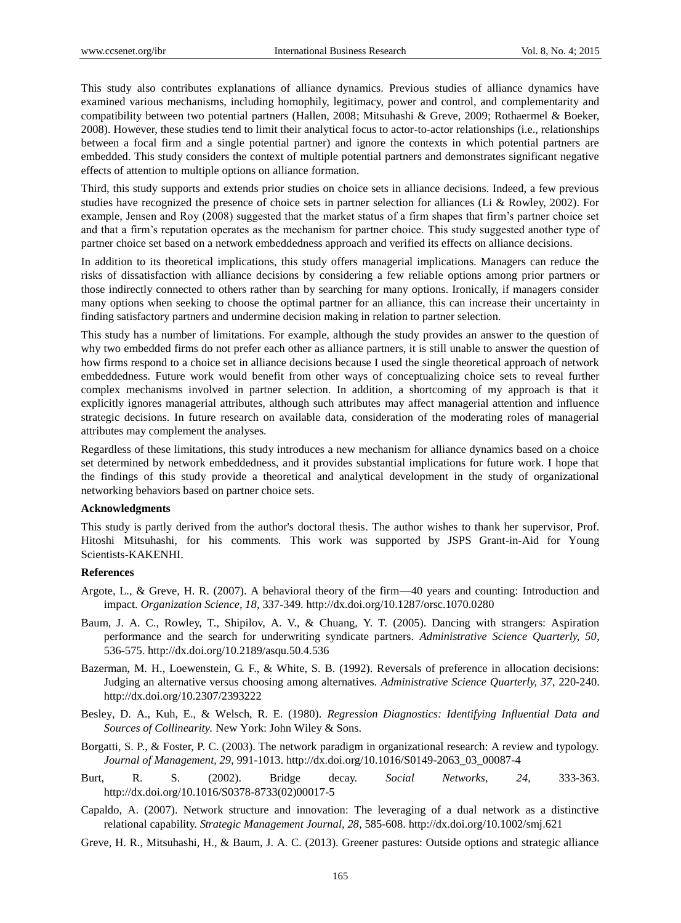This study also contributes explanations of alliance dynamics. Previous studies of alliance dynamics have examined various mechanisms, including homophily, legitimacy, power and control, and complementarity and compatibility between two potential partners (Hallen, 2008; Mitsuhashi & Greve, 2009; Rothaermel & Boeker, 2008). However, these studies tend to limit their analytical focus to actor-to-actor relationships (i.e., relationships between a focal firm and a single potential partner) and ignore the contexts in which potential partners are embedded. This study considers the context of multiple potential partners and demonstrates significant negative effects of attention to multiple options on alliance formation.

Third, this study supports and extends prior studies on choice sets in alliance decisions. Indeed, a few previous studies have recognized the presence of choice sets in partner selection for alliances (Li & Rowley, 2002). For example, Jensen and Roy (2008) suggested that the market status of a firm shapes that firm's partner choice set and that a firm's reputation operates as the mechanism for partner choice. This study suggested another type of partner choice set based on a network embeddedness approach and verified its effects on alliance decisions.

In addition to its theoretical implications, this study offers managerial implications. Managers can reduce the risks of dissatisfaction with alliance decisions by considering a few reliable options among prior partners or those indirectly connected to others rather than by searching for many options. Ironically, if managers consider many options when seeking to choose the optimal partner for an alliance, this can increase their uncertainty in finding satisfactory partners and undermine decision making in relation to partner selection.

This study has a number of limitations. For example, although the study provides an answer to the question of why two embedded firms do not prefer each other as alliance partners, it is still unable to answer the question of how firms respond to a choice set in alliance decisions because I used the single theoretical approach of network embeddedness. Future work would benefit from other ways of conceptualizing choice sets to reveal further complex mechanisms involved in partner selection. In addition, a shortcoming of my approach is that it explicitly ignores managerial attributes, although such attributes may affect managerial attention and influence strategic decisions. In future research on available data, consideration of the moderating roles of managerial attributes may complement the analyses.

Regardless of these limitations, this study introduces a new mechanism for alliance dynamics based on a choice set determined by network embeddedness, and it provides substantial implications for future work. I hope that the findings of this study provide a theoretical and analytical development in the study of organizational networking behaviors based on partner choice sets.

#### **Acknowledgments**

This study is partly derived from the author's doctoral thesis. The author wishes to thank her supervisor, Prof. Hitoshi Mitsuhashi, for his comments. This work was supported by JSPS Grant-in-Aid for Young Scientists-KAKENHI.

# **References**

- Argote, L., & Greve, H. R. (2007). A behavioral theory of the firm—40 years and counting: Introduction and impact. *Organization Science, 18,* 337-349. http://dx.doi.org/10.1287/orsc.1070.0280
- Baum, J. A. C., Rowley, T., Shipilov, A. V., & Chuang, Y. T. (2005). Dancing with strangers: Aspiration performance and the search for underwriting syndicate partners. *Administrative Science Quarterly, 50*, 536-575. http://dx.doi.org/10.2189/asqu.50.4.536
- Bazerman, M. H., Loewenstein, G. F., & White, S. B. (1992). Reversals of preference in allocation decisions: Judging an alternative versus choosing among alternatives. *Administrative Science Quarterly, 37*, 220-240. http://dx.doi.org/10.2307/2393222
- Besley, D. A., Kuh, E., & Welsch, R. E. (1980). *Regression Diagnostics: Identifying Influential Data and Sources of Collinearity.* New York: John Wiley & Sons.
- Borgatti, S. P., & Foster, P. C. (2003). The network paradigm in organizational research: A review and typology. *Journal of Management, 29*, 991-1013. http://dx.doi.org/10.1016/S0149-2063\_03\_00087-4
- Burt, R. S. (2002). Bridge decay. *Social Networks, 24*, 333-363. http://dx.doi.org/10.1016/S0378-8733(02)00017-5
- Capaldo, A. (2007). Network structure and innovation: The leveraging of a dual network as a distinctive relational capability. *Strategic Management Journal, 28*, 585-608. http://dx.doi.org/10.1002/smj.621
- Greve, H. R., Mitsuhashi, H., & Baum, J. A. C. (2013). Greener pastures: Outside options and strategic alliance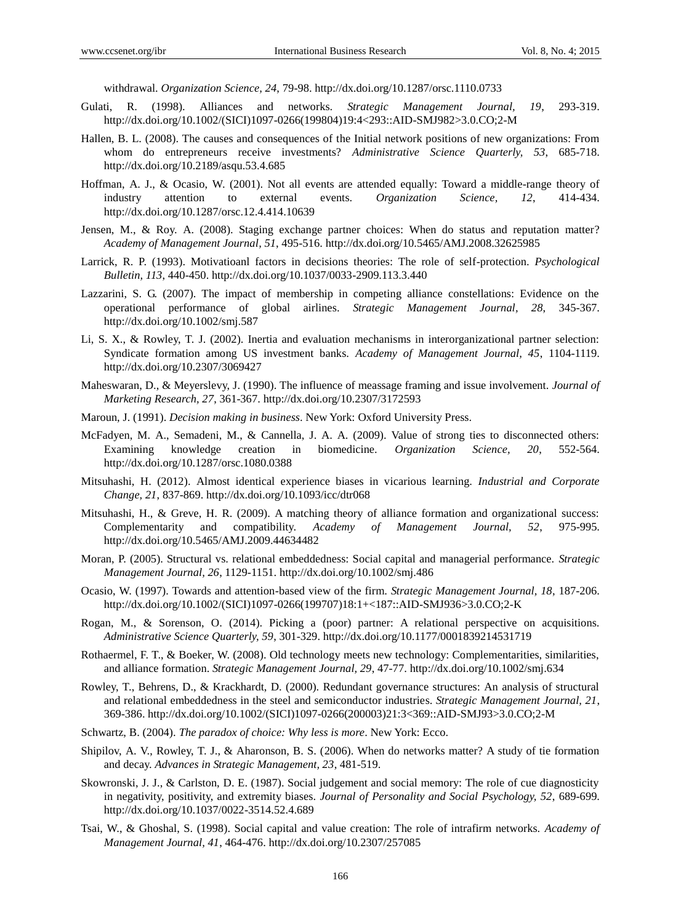withdrawal. *Organization Science, 24*, 79-98. http://dx.doi.org/10.1287/orsc.1110.0733

- Gulati, R. (1998). Alliances and networks. *Strategic Management Journal, 19*, 293-319. http://dx.doi.org/10.1002/(SICI)1097-0266(199804)19:4<293::AID-SMJ982>3.0.CO;2-M
- Hallen, B. L. (2008). The causes and consequences of the Initial network positions of new organizations: From whom do entrepreneurs receive investments? *Administrative Science Quarterly, 53*, 685-718. http://dx.doi.org/10.2189/asqu.53.4.685
- Hoffman, A. J., & Ocasio, W. (2001). Not all events are attended equally: Toward a middle-range theory of industry attention to external events. *Organization Science, 12*, 414-434. http://dx.doi.org/10.1287/orsc.12.4.414.10639
- Jensen, M., & Roy. A. (2008). Staging exchange partner choices: When do status and reputation matter? *Academy of Management Journal, 51*, 495-516. http://dx.doi.org/10.5465/AMJ.2008.32625985
- Larrick, R. P. (1993). Motivatioanl factors in decisions theories: The role of self-protection. *Psychological Bulletin, 113*, 440-450. http://dx.doi.org/10.1037/0033-2909.113.3.440
- Lazzarini, S. G. (2007). The impact of membership in competing alliance constellations: Evidence on the operational performance of global airlines. *Strategic Management Journal, 28*, 345-367. http://dx.doi.org/10.1002/smj.587
- Li, S. X., & Rowley, T. J. (2002). Inertia and evaluation mechanisms in interorganizational partner selection: Syndicate formation among US investment banks. *Academy of Management Journal, 45*, 1104-1119. http://dx.doi.org/10.2307/3069427
- Maheswaran, D., & Meyerslevy, J. (1990). The influence of meassage framing and issue involvement. *Journal of Marketing Research, 27*, 361-367. http://dx.doi.org/10.2307/3172593
- Maroun, J. (1991). *Decision making in business*. New York: Oxford University Press.
- McFadyen, M. A., Semadeni, M., & Cannella, J. A. A. (2009). Value of strong ties to disconnected others: Examining knowledge creation in biomedicine. *Organization Science, 20*, 552-564. http://dx.doi.org/10.1287/orsc.1080.0388
- Mitsuhashi, H. (2012). Almost identical experience biases in vicarious learning. *Industrial and Corporate Change, 21*, 837-869. http://dx.doi.org/10.1093/icc/dtr068
- Mitsuhashi, H., & Greve, H. R. (2009). A matching theory of alliance formation and organizational success: Complementarity and compatibility. *Academy of Management Journal, 52*, 975-995. http://dx.doi.org/10.5465/AMJ.2009.44634482
- Moran, P. (2005). Structural vs. relational embeddedness: Social capital and managerial performance. *Strategic Management Journal, 26*, 1129-1151. http://dx.doi.org/10.1002/smj.486
- Ocasio, W. (1997). Towards and attention-based view of the firm. *Strategic Management Journal, 18*, 187-206. http://dx.doi.org/10.1002/(SICI)1097-0266(199707)18:1+<187::AID-SMJ936>3.0.CO;2-K
- Rogan, M., & Sorenson, O. (2014). Picking a (poor) partner: A relational perspective on acquisitions. *Administrative Science Quarterly, 59*, 301-329. http://dx.doi.org/10.1177/0001839214531719
- Rothaermel, F. T., & Boeker, W. (2008). Old technology meets new technology: Complementarities, similarities, and alliance formation. *Strategic Management Journal, 29*, 47-77. http://dx.doi.org/10.1002/smj.634
- Rowley, T., Behrens, D., & Krackhardt, D. (2000). Redundant governance structures: An analysis of structural and relational embeddedness in the steel and semiconductor industries. *Strategic Management Journal, 21*, 369-386. http://dx.doi.org/10.1002/(SICI)1097-0266(200003)21:3<369::AID-SMJ93>3.0.CO;2-M
- Schwartz, B. (2004). *The paradox of choice: Why less is more*. New York: Ecco.
- Shipilov, A. V., Rowley, T. J., & Aharonson, B. S. (2006). When do networks matter? A study of tie formation and decay. *Advances in Strategic Management, 23*, 481-519.
- Skowronski, J. J., & Carlston, D. E. (1987). Social judgement and social memory: The role of cue diagnosticity in negativity, positivity, and extremity biases. *Journal of Personality and Social Psychology, 52*, 689-699. http://dx.doi.org/10.1037/0022-3514.52.4.689
- Tsai, W., & Ghoshal, S. (1998). Social capital and value creation: The role of intrafirm networks. *Academy of Management Journal, 41*, 464-476. http://dx.doi.org/10.2307/257085